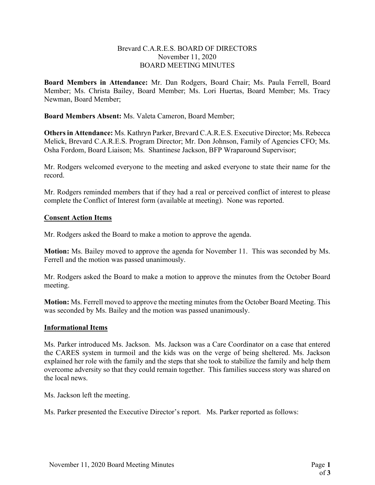## Brevard C.A.R.E.S. BOARD OF DIRECTORS November 11, 2020 BOARD MEETING MINUTES

Board Members in Attendance: Mr. Dan Rodgers, Board Chair; Ms. Paula Ferrell, Board Member; Ms. Christa Bailey, Board Member; Ms. Lori Huertas, Board Member; Ms. Tracy Newman, Board Member;

Board Members Absent: Ms. Valeta Cameron, Board Member;

Others in Attendance: Ms. Kathryn Parker, Brevard C.A.R.E.S. Executive Director; Ms. Rebecca Melick, Brevard C.A.R.E.S. Program Director; Mr. Don Johnson, Family of Agencies CFO; Ms. Osha Fordom, Board Liaison; Ms. Shantinese Jackson, BFP Wraparound Supervisor;

Mr. Rodgers welcomed everyone to the meeting and asked everyone to state their name for the record.

Mr. Rodgers reminded members that if they had a real or perceived conflict of interest to please complete the Conflict of Interest form (available at meeting). None was reported.

## Consent Action Items

Mr. Rodgers asked the Board to make a motion to approve the agenda.

Motion: Ms. Bailey moved to approve the agenda for November 11. This was seconded by Ms. Ferrell and the motion was passed unanimously.

Mr. Rodgers asked the Board to make a motion to approve the minutes from the October Board meeting.

Motion: Ms. Ferrell moved to approve the meeting minutes from the October Board Meeting. This was seconded by Ms. Bailey and the motion was passed unanimously.

## Informational Items

Ms. Parker introduced Ms. Jackson. Ms. Jackson was a Care Coordinator on a case that entered the CARES system in turmoil and the kids was on the verge of being sheltered. Ms. Jackson explained her role with the family and the steps that she took to stabilize the family and help them overcome adversity so that they could remain together. This families success story was shared on the local news.

Ms. Jackson left the meeting.

Ms. Parker presented the Executive Director's report. Ms. Parker reported as follows: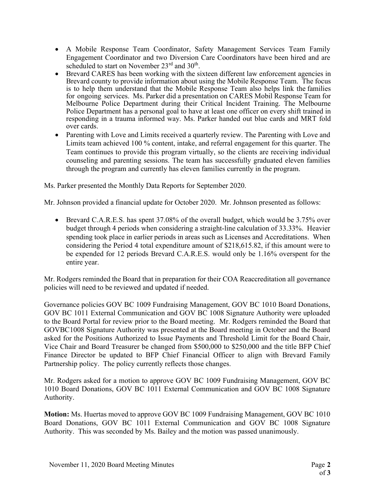- A Mobile Response Team Coordinator, Safety Management Services Team Family Engagement Coordinator and two Diversion Care Coordinators have been hired and are scheduled to start on November  $23^{\text{rd}}$  and  $30^{\text{th}}$ .
- Brevard CARES has been working with the sixteen different law enforcement agencies in Brevard county to provide information about using the Mobile Response Team. The focus is to help them understand that the Mobile Response Team also helps link the families for ongoing services. Ms. Parker did a presentation on CARES Mobil Response Team for Melbourne Police Department during their Critical Incident Training. The Melbourne Police Department has a personal goal to have at least one officer on every shift trained in responding in a trauma informed way. Ms. Parker handed out blue cards and MRT fold over cards.
- Parenting with Love and Limits received a quarterly review. The Parenting with Love and Limits team achieved 100 % content, intake, and referral engagement for this quarter. The Team continues to provide this program virtually, so the clients are receiving individual counseling and parenting sessions. The team has successfully graduated eleven families through the program and currently has eleven families currently in the program.

Ms. Parker presented the Monthly Data Reports for September 2020.

Mr. Johnson provided a financial update for October 2020. Mr. Johnson presented as follows:

 Brevard C.A.R.E.S. has spent 37.08% of the overall budget, which would be 3.75% over budget through 4 periods when considering a straight-line calculation of 33.33%. Heavier spending took place in earlier periods in areas such as Licenses and Accreditations. When considering the Period 4 total expenditure amount of \$218,615.82, if this amount were to be expended for 12 periods Brevard C.A.R.E.S. would only be 1.16% overspent for the entire year.

Mr. Rodgers reminded the Board that in preparation for their COA Reaccreditation all governance policies will need to be reviewed and updated if needed.

Governance policies GOV BC 1009 Fundraising Management, GOV BC 1010 Board Donations, GOV BC 1011 External Communication and GOV BC 1008 Signature Authority were uploaded to the Board Portal for review prior to the Board meeting. Mr. Rodgers reminded the Board that GOVBC1008 Signature Authority was presented at the Board meeting in October and the Board asked for the Positions Authorized to Issue Payments and Threshold Limit for the Board Chair, Vice Chair and Board Treasurer be changed from \$500,000 to \$250,000 and the title BFP Chief Finance Director be updated to BFP Chief Financial Officer to align with Brevard Family Partnership policy. The policy currently reflects those changes.

Mr. Rodgers asked for a motion to approve GOV BC 1009 Fundraising Management, GOV BC 1010 Board Donations, GOV BC 1011 External Communication and GOV BC 1008 Signature Authority.

Motion: Ms. Huertas moved to approve GOV BC 1009 Fundraising Management, GOV BC 1010 Board Donations, GOV BC 1011 External Communication and GOV BC 1008 Signature Authority. This was seconded by Ms. Bailey and the motion was passed unanimously.